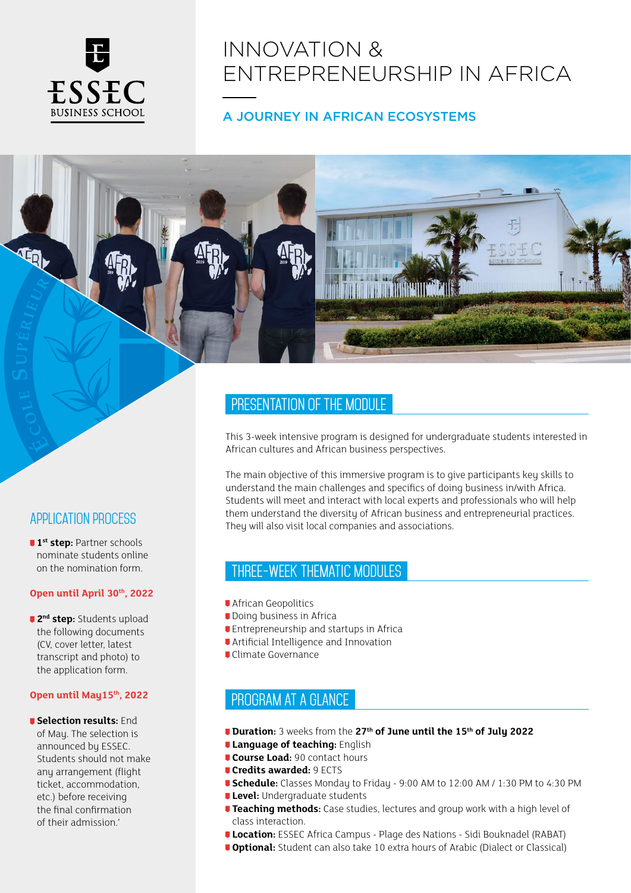

# INNOVATION & ENTREPRENEURSHIP IN AFRICA

## A JOURNEY IN AFRICAN ECOSYSTEMS

# Application process

**1st step:** Partner schools nominate students online on the nomination form.

#### **Open until April 30th, 2022**

**2<sup>nd</sup> step:** Students upload the following documents (CV, cover letter, latest transcript and photo) to the application form.

#### **Open until May15th, 2022**

**J** Selection results: End of May. The selection is announced by ESSEC. Students should not make any arrangement (flight ticket, accommodation, etc.) before receiving the final confirmation of their admission.'

# PRESENTATION OF THE MODULE

This 3-week intensive program is designed for undergraduate students interested in African cultures and African business perspectives.

The main objective of this immersive program is to give participants key skills to understand the main challenges and specifics of doing business in/with Africa. Students will meet and interact with local experts and professionals who will help them understand the diversity of African business and entrepreneurial practices. They will also visit local companies and associations.

### THREE-WEEK THEMATIC MODULEs

- **African Geopolitics**
- **Doing business in Africa**
- **Entrepreneurship and startups in Africa**
- Artificial Intelligence and Innovation
- Climate Governance

# PROGRAM AT A GLANCE

- *Duration:* **3 weeks from the 27<sup>th</sup> of June until the 15<sup>th</sup> of July 2022**
- *Language of teaching: English*
- **Course Load: 90 contact hours**
- **Credits awarded:** 9 ECTS
- **Schedule:** Classes Monday to Friday 9:00 AM to 12:00 AM / 1:30 PM to 4:30 PM
- **Level:** Undergraduate students
- **Teaching methods:** Case studies, lectures and group work with a high level of class interaction.
- **Location:** ESSEC Africa Campus Plage des Nations Sidi Bouknadel (RABAT)
- *Optional: Student can also take 10 extra hours of Arabic (Dialect or Classical)*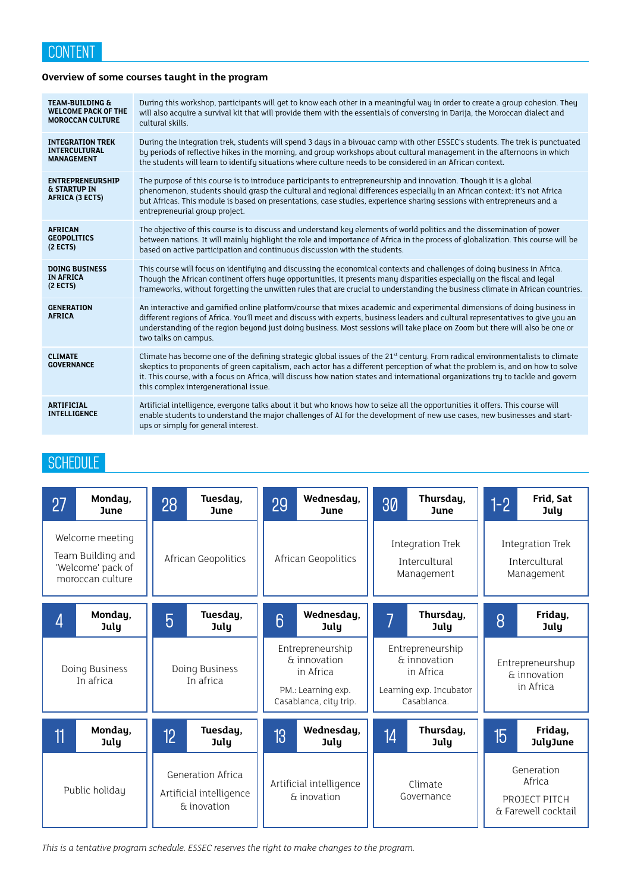### **Overview of some courses taught in the program**

| <b>TEAM-BUILDING &amp;</b>                                            | During this workshop, participants will get to know each other in a meaningful way in order to create a group cohesion. They                                                                                                                                                                                                                                                                                                                            |
|-----------------------------------------------------------------------|---------------------------------------------------------------------------------------------------------------------------------------------------------------------------------------------------------------------------------------------------------------------------------------------------------------------------------------------------------------------------------------------------------------------------------------------------------|
| <b>WELCOME PACK OF THE</b>                                            | will also acquire a survival kit that will provide them with the essentials of conversing in Darija, the Moroccan dialect and                                                                                                                                                                                                                                                                                                                           |
| <b>MOROCCAN CULTURE</b>                                               | cultural skills.                                                                                                                                                                                                                                                                                                                                                                                                                                        |
| <b>INTEGRATION TREK</b>                                               | During the integration trek, students will spend 3 days in a bivouac camp with other ESSEC's students. The trek is punctuated                                                                                                                                                                                                                                                                                                                           |
| <b>INTERCULTURAL</b>                                                  | by periods of reflective hikes in the morning, and group workshops about cultural management in the afternoons in which                                                                                                                                                                                                                                                                                                                                 |
| <b>MANAGEMENT</b>                                                     | the students will learn to identify situations where culture needs to be considered in an African context.                                                                                                                                                                                                                                                                                                                                              |
| <b>ENTREPRENEURSHIP</b><br><b>&amp; STARTUP IN</b><br>AFRICA (3 ECTS) | The purpose of this course is to introduce participants to entrepreneurship and innovation. Though it is a global<br>phenomenon, students should grasp the cultural and regional differences especially in an African context: it's not Africa<br>but Africas. This module is based on presentations, case studies, experience sharing sessions with entrepreneurs and a<br>entrepreneurial group project.                                              |
| <b>AFRICAN</b>                                                        | The objective of this course is to discuss and understand key elements of world politics and the dissemination of power                                                                                                                                                                                                                                                                                                                                 |
| <b>GEOPOLITICS</b>                                                    | between nations. It will mainly highlight the role and importance of Africa in the process of globalization. This course will be                                                                                                                                                                                                                                                                                                                        |
| $(2$ ECTS)                                                            | based on active participation and continuous discussion with the students.                                                                                                                                                                                                                                                                                                                                                                              |
| <b>DOING BUSINESS</b>                                                 | This course will focus on identifying and discussing the economical contexts and challenges of doing business in Africa.                                                                                                                                                                                                                                                                                                                                |
| <b>IN AFRICA</b>                                                      | Though the African continent offers huge opportunities, it presents many disparities especially on the fiscal and legal                                                                                                                                                                                                                                                                                                                                 |
| $(2$ ECTS)                                                            | frameworks, without forgetting the unwitten rules that are crucial to understanding the business climate in African countries.                                                                                                                                                                                                                                                                                                                          |
| <b>GENERATION</b><br><b>AFRICA</b>                                    | An interactive and gamified online platform/course that mixes academic and experimental dimensions of doing business in<br>different regions of Africa. You'll meet and discuss with experts, business leaders and cultural representatives to give you an<br>understanding of the region beyond just doing business. Most sessions will take place on Zoom but there will also be one or<br>two talks on campus.                                       |
| <b>CLIMATE</b><br><b>GOVERNANCE</b>                                   | Climate has become one of the defining strategic global issues of the 21 <sup>st</sup> century. From radical environmentalists to climate<br>skeptics to proponents of green capitalism, each actor has a different perception of what the problem is, and on how to solve<br>it. This course, with a focus on Africa, will discuss how nation states and international organizations try to tackle and govern<br>this complex intergenerational issue. |
| <b>ARTIFICIAL</b><br><b>INTELLIGENCE</b>                              | Artificial intelligence, everyone talks about it but who knows how to seize all the opportunities it offers. This course will<br>enable students to understand the major challenges of AI for the development of new use cases, new businesses and start-<br>ups or simply for general interest.                                                                                                                                                        |

# **SCHEDULE**

| 27                                                                            | Monday,<br><b>June</b> | 28                                                                 | Tuesday,<br><b>June</b> | 29                                                                                            | Wednesday,<br>June | 30                                                                                      | Thursday,<br>June | $1-2$                                                        | Frid, Sat<br>July          |
|-------------------------------------------------------------------------------|------------------------|--------------------------------------------------------------------|-------------------------|-----------------------------------------------------------------------------------------------|--------------------|-----------------------------------------------------------------------------------------|-------------------|--------------------------------------------------------------|----------------------------|
| Welcome meeting<br>Team Building and<br>'Welcome' pack of<br>moroccan culture |                        | African Geopolitics                                                |                         | African Geopolitics                                                                           |                    | <b>Integration Trek</b><br>Intercultural<br>Management                                  |                   | Integration Trek<br>Intercultural<br>Management              |                            |
| 4                                                                             | Monday,<br>July        | $\overline{5}$                                                     | Tuesday,<br><b>July</b> | 6                                                                                             | Wednesday,<br>July |                                                                                         | Thursday,<br>July | 8                                                            | Friday,<br><b>July</b>     |
| Doing Business<br>In africa                                                   |                        | Doing Business<br>In africa                                        |                         | Entrepreneurship<br>& innovation<br>in Africa<br>PM.: Learning exp.<br>Casablanca, city trip. |                    | Entrepreneurship<br>& innovation<br>in Africa<br>Learning exp. Incubator<br>Casablanca. |                   | Entrepreneurshup<br>& innovation<br>in Africa                |                            |
| 11                                                                            | Monday,<br>July        | 12                                                                 | Tuesday,<br>July        | 13                                                                                            | Wednesday,<br>July | 14                                                                                      | Thursday,<br>July | 15                                                           | Friday,<br><b>JulyJune</b> |
| Public holiday                                                                |                        | <b>Generation Africa</b><br>Artificial intelligence<br>& inovation |                         | Artificial intelligence<br>& inovation                                                        |                    | Climate<br>Governance                                                                   |                   | Generation<br>Africa<br>PROJECT PITCH<br>& Farewell cocktail |                            |

*This is a tentative program schedule. ESSEC reserves the right to make changes to the program.*